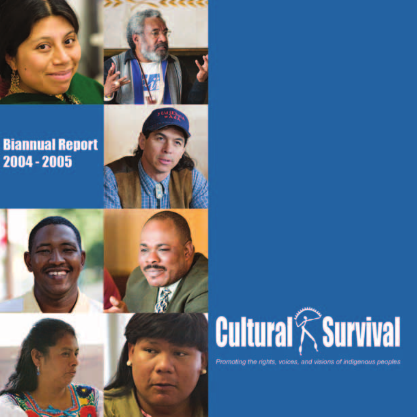

# **Biannual Report** 2004 - 2005



# **Cultural RSurvival**

Promoting the rights, voices, and visions of indigenous peoples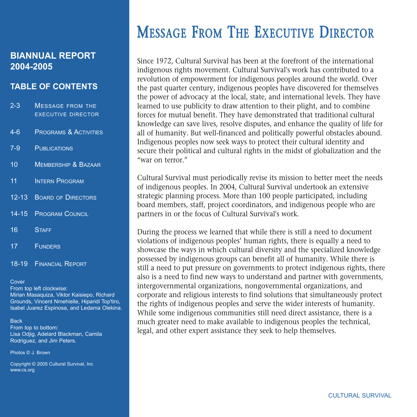## **BIANNUAL REPORT 2004-2005**

## **TABLE OF CONTENTS**

- 2-3 MESSAGE FROM THE EXECUTIVE DIRECTOR
- 4-6 PROGRAMS & ACTIVITIES
- 7-9 PUBLICATIONS
- 10 MEMBERSHIP & BAZAAR
- 11 **INTERN PROGRAM**
- 12-13 BOARD OF DIRECTORS
- 14-15 PROGRAM COUNCIL
- 16 STAFF
- 17 FUNDERS
- 18-19 FINANCIAL REPORT

#### Cover

From top left clockwise: Mirian Masaquiza, Viktor Kaisiepo, Richard Grounds, Vincent Nmehielle, Hiparidi Top'tiro, Isabel Juarez Espinosa, and Ledama Olekina.

#### **Back**

From top to bottom: Lisa Odjig, Adelard Blackman, Camila Rodriguez, and Jim Peters.

Photos © J. Brown

Copyright © 2005 Cultural Survival, Inc www.cs.org

# MESSAGE FROM THE EXECUTIVE DIRECTOR

Since 1972, Cultural Survival has been at the forefront of the international indigenous rights movement. Cultural Survival's work has contributed to a revolution of empowerment for indigenous peoples around the world. Over the past quarter century, indigenous peoples have discovered for themselves the power of advocacy at the local, state, and international levels. They have learned to use publicity to draw attention to their plight, and to combine forces for mutual benefit. They have demonstrated that traditional cultural knowledge can save lives, resolve disputes, and enhance the quality of life for all of humanity. But well-financed and politically powerful obstacles abound. Indigenous peoples now seek ways to protect their cultural identity and secure their political and cultural rights in the midst of globalization and the "war on terror."

Cultural Survival must periodically revise its mission to better meet the needs of indigenous peoples. In 2004, Cultural Survival undertook an extensive strategic planning process. More than 100 people participated, including board members, staff, project coordinators, and indigenous people who are partners in or the focus of Cultural Survival's work.

During the process we learned that while there is still a need to document violations of indigenous peoples' human rights, there is equally a need to showcase the ways in which cultural diversity and the specialized knowledge possessed by indigenous groups can benefit all of humanity. While there is still a need to put pressure on governments to protect indigenous rights, there also is a need to find new ways to understand and partner with governments, intergovernmental organizations, nongovernmental organizations, and corporate and religious interests to find solutions that simultaneously protect the rights of indigenous peoples and serve the wider interests of humanity. While some indigenous communities still need direct assistance, there is a much greater need to make available to indigenous peoples the technical, legal, and other expert assistance they seek to help themselves.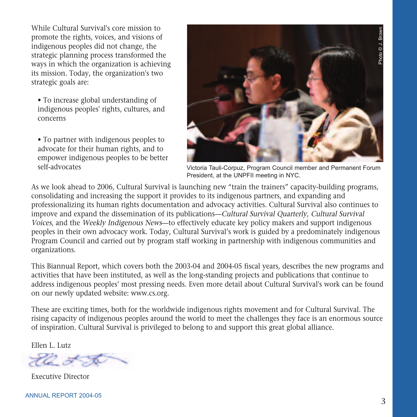While Cultural Survival's core mission to promote the rights, voices, and visions of indigenous peoples did not change, the strategic planning process transformed the ways in which the organization is achieving its mission. Today, the organization's two strategic goals are:

• To increase global understanding of indigenous peoples' rights, cultures, and concerns

• To partner with indigenous peoples to advocate for their human rights, and to empower indigenous peoples to be better self-advocates



Victoria Tauli-Corpuz, Program Council member and Permanent Forum President, at the UNPFII meeting in NYC.

As we look ahead to 2006, Cultural Survival is launching new "train the trainers" capacity-building programs, consolidating and increasing the support it provides to its indigenous partners, and expanding and professionalizing its human rights documentation and advocacy activities. Cultural Survival also continues to improve and expand the dissemination of its publications—Cultural Survival Quarterly, Cultural Survival Voices, and the Weekly Indigenous News—to effectively educate key policy makers and support indigenous peoples in their own advocacy work. Today, Cultural Survival's work is guided by a predominately indigenous Program Council and carried out by program staff working in partnership with indigenous communities and organizations.

This Biannual Report, which covers both the 2003-04 and 2004-05 fiscal years, describes the new programs and activities that have been instituted, as well as the long-standing projects and publications that continue to address indigenous peoples' most pressing needs. Even more detail about Cultural Survival's work can be found on our newly updated website: www.cs.org.

These are exciting times, both for the worldwide indigenous rights movement and for Cultural Survival. The rising capacity of indigenous peoples around the world to meet the challenges they face is an enormous source of inspiration. Cultural Survival is privileged to belong to and support this great global alliance.

Ellen L. Lutz



Executive Director

ANNUAL REPORT 2004-05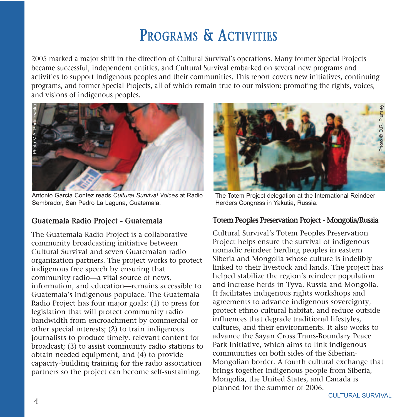# PROGRAMS & ACTIVITIES

2005 marked a major shift in the direction of Cultural Survival's operations. Many former Special Projects became successful, independent entities, and Cultural Survival embarked on several new programs and activities to support indigenous peoples and their communities. This report covers new initiatives, continuing programs, and former Special Projects, all of which remain true to our mission: promoting the rights, voices, and visions of indigenous peoples.



Antonio Garcia Contez reads *Cultural Survival Voices* at Radio Sembrador, San Pedro La Laguna, Guatemala.

#### Guatemala Radio Project - Guatemala

The Guatemala Radio Project is a collaborative community broadcasting initiative between Cultural Survival and seven Guatemalan radio organization partners. The project works to protect indigenous free speech by ensuring that community radio—a vital source of news, information, and education—remains accessible to Guatemala's indigenous populace. The Guatemala Radio Project has four major goals: (1) to press for legislation that will protect community radio bandwidth from encroachment by commercial or other special interests; (2) to train indigenous journalists to produce timely, relevant content for broadcast; (3) to assist community radio stations to obtain needed equipment; and (4) to provide capacity-building training for the radio association partners so the project can become self-sustaining.



The Totem Project delegation at the International Reindeer Herders Congress in Yakutia, Russia.

## Totem Peoples Preservation Project - Mongolia/Russia

Cultural Survival's Totem Peoples Preservation Project helps ensure the survival of indigenous nomadic reindeer herding peoples in eastern Siberia and Mongolia whose culture is indelibly linked to their livestock and lands. The project has helped stabilize the region's reindeer population and increase herds in Tyva, Russia and Mongolia. It facilitates indigenous rights workshops and agreements to advance indigenous sovereignty, protect ethno-cultural habitat, and reduce outside influences that degrade traditional lifestyles, cultures, and their environments. It also works to advance the Sayan Cross Trans-Boundary Peace Park Initiative, which aims to link indigenous communities on both sides of the Siberian-Mongolian border. A fourth cultural exchange that brings together indigenous people from Siberia, Mongolia, the United States, and Canada is planned for the summer of 2006.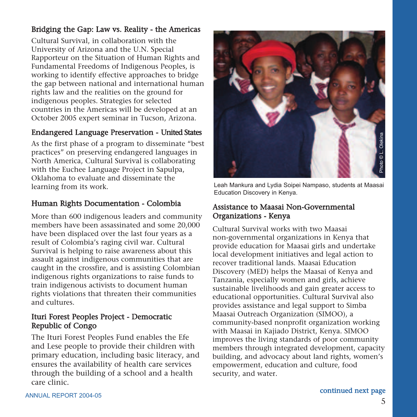## Bridging the Gap: Law vs. Reality - the Americas

Cultural Survival, in collaboration with the University of Arizona and the U.N. Special Rapporteur on the Situation of Human Rights and Fundamental Freedoms of Indigenous Peoples, is working to identify effective approaches to bridge the gap between national and international human rights law and the realities on the ground for indigenous peoples. Strategies for selected countries in the Americas will be developed at an October 2005 expert seminar in Tucson, Arizona.

## Endangered Language Preservation - United States

As the first phase of a program to disseminate "best practices" on preserving endangered languages in North America, Cultural Survival is collaborating with the Euchee Language Project in Sapulpa, Oklahoma to evaluate and disseminate the learning from its work.

## Human Rights Documentation - Colombia

More than 600 indigenous leaders and community members have been assassinated and some 20,000 have been displaced over the last four years as a result of Colombia's raging civil war. Cultural Survival is helping to raise awareness about this assault against indigenous communities that are caught in the crossfire, and is assisting Colombian indigenous rights organizations to raise funds to train indigenous activists to document human rights violations that threaten their communities and cultures.

#### Ituri Forest Peoples Project - Democratic Republic of Congo

The Ituri Forest Peoples Fund enables the Efe and Lese people to provide their children with primary education, including basic literacy, and ensures the availability of health care services through the building of a school and a health care clinic.



Leah Mankura and Lydia Soipei Nampaso, students at Maasai Education Discovery in Kenya.

## Assistance to Maasai Non-Governmental Organizations - Kenya

Cultural Survival works with two Maasai non-governmental organizations in Kenya that provide education for Maasai girls and undertake local development initiatives and legal action to recover traditional lands. Maasai Education Discovery (MED) helps the Maasai of Kenya and Tanzania, especially women and girls, achieve sustainable livelihoods and gain greater access to educational opportunities. Cultural Survival also provides assistance and legal support to Simba Maasai Outreach Organization (SIMOO), a community-based nonprofit organization working with Maasai in Kajiado District, Kenya. SIMOO improves the living standards of poor community members through integrated development, capacity building, and advocacy about land rights, women's empowerment, education and culture, food security, and water.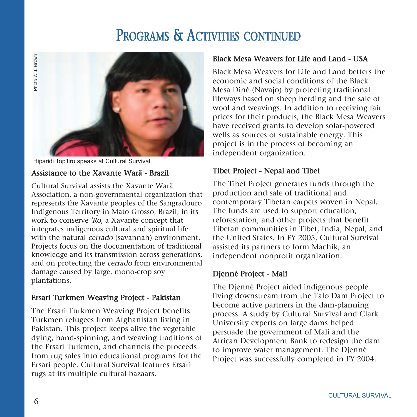## PROGRAMS & ACTIVITIES CONTINUED



## Assistance to the Xavante Warã - Brazil

Cultural Survival assists the Xavante Warã Association, a non-governmental organization that represents the Xavante peoples of the Sangradouro Indigenous Territory in Mato Grosso, Brazil, in its work to conserve 'Ro, a Xavante concept that integrates indigenous cultural and spiritual life with the natural cerrado (savannah) environment. Projects focus on the documentation of traditional knowledge and its transmission across generations, and on protecting the cerrado from environmental damage caused by large, mono-crop soy plantations.

#### Ersari Turkmen Weaving Project - Pakistan

The Ersari Turkmen Weaving Project benefits Turkmen refugees from Afghanistan living in Pakistan. This project keeps alive the vegetable dying, hand-spinning, and weaving traditions of the Ersari Turkmen, and channels the proceeds from rug sales into educational programs for the Ersari people. Cultural Survival features Ersari rugs at its multiple cultural bazaars.

#### Black Mesa Weavers for Life and Land - USA

Black Mesa Weavers for Life and Land betters the economic and social conditions of the Black Mesa Diné (Navajo) by protecting traditional lifeways based on sheep herding and the sale of wool and weavings. In addition to receiving fair prices for their products, the Black Mesa Weavers have received grants to develop solar-powered wells as sources of sustainable energy. This project is in the process of becoming an independent organization.

## Tibet Project - Nepal and Tibet

The Tibet Project generates funds through the production and sale of traditional and contemporary Tibetan carpets woven in Nepal. The funds are used to support education, reforestation, and other projects that benefit Tibetan communities in Tibet, India, Nepal, and the United States. In FY 2005, Cultural Survival assisted its partners to form Machik, an independent nonprofit organization.

#### Djenné Project - Mali

The Djenné Project aided indigenous people living downstream from the Talo Dam Project to become active partners in the dam-planning process. A study by Cultural Survival and Clark University experts on large dams helped persuade the government of Mali and the African Development Bank to redesign the dam to improve water management. The Djenné Project was successfully completed in FY 2004.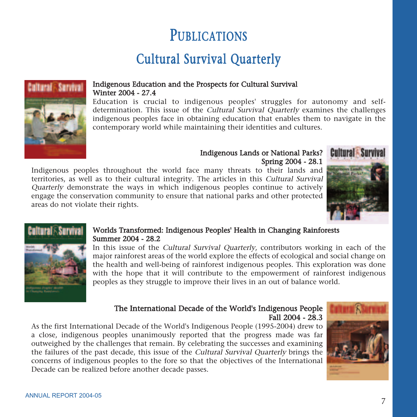# **PUBLICATIONS**

## Cultural Survival Quarterly



#### Indigenous Education and the Prospects for Cultural Survival Winter 2004 - 27.4

Education is crucial to indigenous peoples' struggles for autonomy and selfdetermination. This issue of the *Cultural Survival Quarterly* examines the challenges indigenous peoples face in obtaining education that enables them to navigate in the contemporary world while maintaining their identities and cultures.

#### Indigenous Lands or National Parks? Spring 2004 - 28.1

Indigenous peoples throughout the world face many threats to their lands and territories, as well as to their cultural integrity. The articles in this Cultural Survival Quarterly demonstrate the ways in which indigenous peoples continue to actively engage the conservation community to ensure that national parks and other protected areas do not violate their rights.





#### Worlds Transformed: Indigenous Peoples' Health in Changing Rainforests Summer 2004 - 28.2

In this issue of the Cultural Survival Quarterly, contributors working in each of the major rainforest areas of the world explore the effects of ecological and social change on the health and well-being of rainforest indigenous peoples. This exploration was done with the hope that it will contribute to the empowerment of rainforest indigenous peoples as they struggle to improve their lives in an out of balance world.

#### The International Decade of the World's Indigenous People Fall 2004 - 28.3

As the first International Decade of the World's Indigenous People (1995-2004) drew to a close, indigenous peoples unanimously reported that the progress made was far outweighed by the challenges that remain. By celebrating the successes and examining the failures of the past decade, this issue of the Cultural Survival Quarterly brings the concerns of indigenous peoples to the fore so that the objectives of the International Decade can be realized before another decade passes.

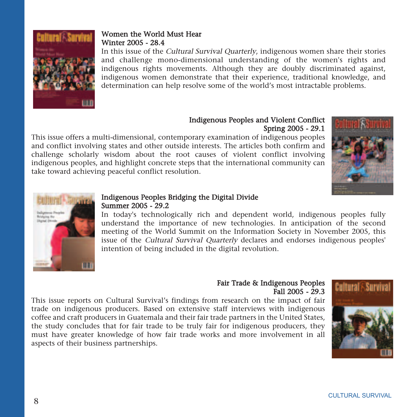

## Women the World Must Hear Winter 2005 - 28.4

In this issue of the Cultural Survival Quarterly, indigenous women share their stories and challenge mono-dimensional understanding of the women's rights and indigenous rights movements. Although they are doubly discriminated against, indigenous women demonstrate that their experience, traditional knowledge, and determination can help resolve some of the world's most intractable problems.

#### Indigenous Peoples and Violent Conflict Spring 2005 - 29.1

This issue offers a multi-dimensional, contemporary examination of indigenous peoples and conflict involving states and other outside interests. The articles both confirm and challenge scholarly wisdom about the root causes of violent conflict involving indigenous peoples, and highlight concrete steps that the international community can take toward achieving peaceful conflict resolution.





#### Indigenous Peoples Bridging the Digital Divide Summer 2005 - 29.2

In today's technologically rich and dependent world, indigenous peoples fully understand the importance of new technologies. In anticipation of the second meeting of the World Summit on the Information Society in November 2005, this issue of the Cultural Survival Quarterly declares and endorses indigenous peoples' intention of being included in the digital revolution.

#### Fair Trade & Indigenous Peoples Fall 2005 - 29.3

This issue reports on Cultural Survival's findings from research on the impact of fair trade on indigenous producers. Based on extensive staff interviews with indigenous coffee and craft producers in Guatemala and their fair trade partners in the United States, the study concludes that for fair trade to be truly fair for indigenous producers, they must have greater knowledge of how fair trade works and more involvement in all aspects of their business partnerships.

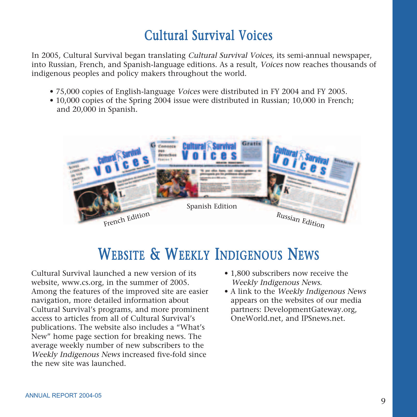## Cultural Survival Voices

In 2005, Cultural Survival began translating Cultural Survival Voices, its semi-annual newspaper, into Russian, French, and Spanish-language editions. As a result, Voices now reaches thousands of indigenous peoples and policy makers throughout the world.

- 75,000 copies of English-language Voices were distributed in FY 2004 and FY 2005.
- 10,000 copies of the Spring 2004 issue were distributed in Russian; 10,000 in French; and 20,000 in Spanish.



# WEBSITE & WEEKLY INDIGENOUS NEWS

Cultural Survival launched a new version of its website, www.cs.org, in the summer of 2005. Among the features of the improved site are easier navigation, more detailed information about Cultural Survival's programs, and more prominent access to articles from all of Cultural Survival's publications. The website also includes a "What's New" home page section for breaking news. The average weekly number of new subscribers to the Weekly Indigenous News increased five-fold since the new site was launched.

- 1.800 subscribers now receive the Weekly Indigenous News.
- A link to the Weekly Indigenous News appears on the websites of our media partners: DevelopmentGateway.org, OneWorld.net, and IPSnews.net.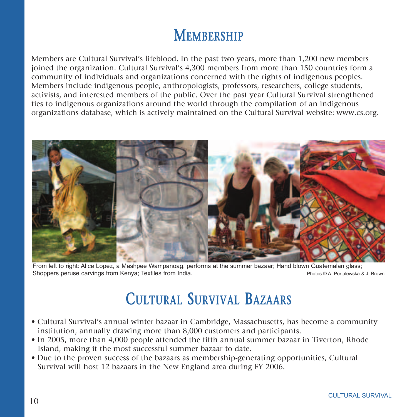# **MEMBERSHIP**

Members are Cultural Survival's lifeblood. In the past two years, more than 1,200 new members joined the organization. Cultural Survival's 4,300 members from more than 150 countries form a community of individuals and organizations concerned with the rights of indigenous peoples. Members include indigenous people, anthropologists, professors, researchers, college students, activists, and interested members of the public. Over the past year Cultural Survival strengthened ties to indigenous organizations around the world through the compilation of an indigenous organizations database, which is actively maintained on the Cultural Survival website: www.cs.org.



From left to right: Alice Lopez, a Mashpee Wampanoag, performs at the summer bazaar; Hand blown Guatemalan glass; Shoppers peruse carvings from Kenya; Textiles from India. Photos © A. Portalewska & J. Brown

# CULTURAL SURVIVAL BAZAARS

- Cultural Survival's annual winter bazaar in Cambridge, Massachusetts, has become a community institution, annually drawing more than 8,000 customers and participants.
- In 2005, more than 4,000 people attended the fifth annual summer bazaar in Tiverton, Rhode Island, making it the most successful summer bazaar to date.
- Due to the proven success of the bazaars as membership-generating opportunities, Cultural Survival will host 12 bazaars in the New England area during FY 2006.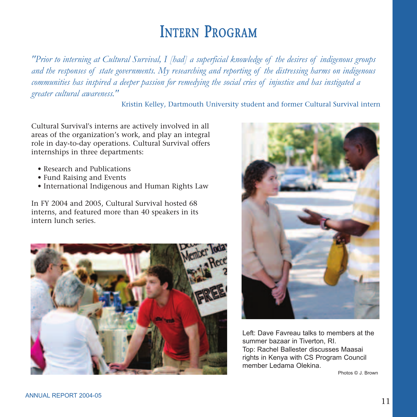## INTERN PROGRAM

*"Prior to interning at Cultural Survival, I [had] a superficial knowledge of the desires of indigenous groups and the responses of state governments. My researching and reporting of the distressing harms on indigenous communities has inspired a deeper passion for remedying the social cries of injustice and has instigated a greater cultural awareness."* 

Kristin Kelley, Dartmouth University student and former Cultural Survival intern

Cultural Survival's interns are actively involved in all areas of the organization's work, and play an integral role in day-to-day operations. Cultural Survival offers internships in three departments:

- Research and Publications
- Fund Raising and Events
- International Indigenous and Human Rights Law

In FY 2004 and 2005, Cultural Survival hosted 68 interns, and featured more than 40 speakers in its intern lunch series.





Left: Dave Favreau talks to members at the summer bazaar in Tiverton, RI. Top: Rachel Ballester discusses Maasai rights in Kenya with CS Program Council member Ledama Olekina.

Photos © J. Brown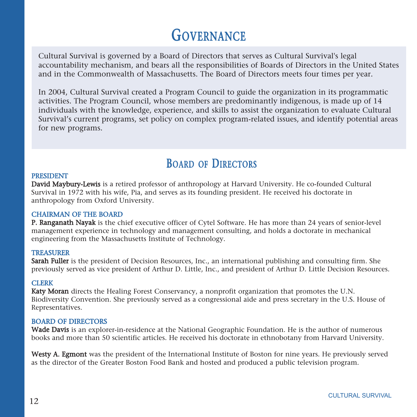# **GOVERNANCE**

Cultural Survival is governed by a Board of Directors that serves as Cultural Survival's legal accountability mechanism, and bears all the responsibilities of Boards of Directors in the United States and in the Commonwealth of Massachusetts. The Board of Directors meets four times per year.

In 2004, Cultural Survival created a Program Council to guide the organization in its programmatic activities. The Program Council, whose members are predominantly indigenous, is made up of 14 individuals with the knowledge, experience, and skills to assist the organization to evaluate Cultural Survival's current programs, set policy on complex program-related issues, and identify potential areas for new programs.

## BOARD OF DIRECTORS

#### PRESIDENT

David Maybury-Lewis is a retired professor of anthropology at Harvard University. He co-founded Cultural Survival in 1972 with his wife, Pia, and serves as its founding president. He received his doctorate in anthropology from Oxford University.

#### CHAIRMAN OF THE BOARD

P. Ranganath Nayak is the chief executive officer of Cytel Software. He has more than 24 years of senior-level management experience in technology and management consulting, and holds a doctorate in mechanical engineering from the Massachusetts Institute of Technology.

#### **TREASURER**

Sarah Fuller is the president of Decision Resources, Inc., an international publishing and consulting firm. She previously served as vice president of Arthur D. Little, Inc., and president of Arthur D. Little Decision Resources.

#### **CLERK**

Katy Moran directs the Healing Forest Conservancy, a nonprofit organization that promotes the U.N. Biodiversity Convention. She previously served as a congressional aide and press secretary in the U.S. House of Representatives.

#### BOARD OF DIRECTORS

Wade Davis is an explorer-in-residence at the National Geographic Foundation. He is the author of numerous books and more than 50 scientific articles. He received his doctorate in ethnobotany from Harvard University.

Westy A. Egmont was the president of the International Institute of Boston for nine years. He previously served as the director of the Greater Boston Food Bank and hosted and produced a public television program.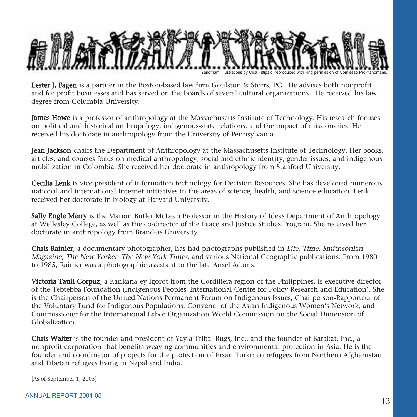

Lester J. Fagen is a partner in the Boston-based law firm Goulston & Storrs, PC. He advises both nonprofit and for profit businesses and has served on the boards of several cultural organizations. He received his law degree from Columbia University.

James Howe is a professor of anthropology at the Massachusetts Institute of Technology. His research focuses on political and historical anthropology, indigenous-state relations, and the impact of missionaries. He received his doctorate in anthropology from the University of Pennsylvania.

Jean Jackson chairs the Department of Anthropology at the Massachusetts Institute of Technology. Her books, articles, and courses focus on medical anthropology, social and ethnic identity, gender issues, and indigenous mobilization in Colombia. She received her doctorate in anthropology from Stanford University.

Cecilia Lenk is vice president of information technology for Decision Resources. She has developed numerous national and international Internet initiatives in the areas of science, health, and science education. Lenk received her doctorate in biology at Harvard University.

Sally Engle Merry is the Marion Butler McLean Professor in the History of Ideas Department of Anthropology at Wellesley College, as well as the co-director of the Peace and Justice Studies Program. She received her doctorate in anthropology from Brandeis University.

Chris Rainier, a documentary photographer, has had photographs published in Life, Time, Smithsonian Magazine, The New Yorker, The New York Times, and various National Geographic publications. From 1980 to 1985, Rainier was a photographic assistant to the late Ansel Adams.

Victoria Tauli-Corpuz, a Kankana-ey Igorot from the Cordillera region of the Philippines, is executive director of the Tebtebba Foundation (Indigenous Peoples' International Centre for Policy Research and Education). She is the Chairperson of the United Nations Permanent Forum on Indigenous Issues, Chairperson-Rapporteur of the Voluntary Fund for Indigenous Populations, Convener of the Asian Indigenous Women's Network, and Commissioner for the International Labor Organization World Commission on the Social Dimension of Globalization.

Chris Walter is the founder and president of Yayla Tribal Rugs, Inc., and the founder of Barakat, Inc., a nonprofit corporation that benefits weaving communities and environmental protection in Asia. He is the founder and coordinator of projects for the protection of Ersari Turkmen refugees from Northern Afghanistan and Tibetan refugees living in Nepal and India.

[As of September 1, 2005]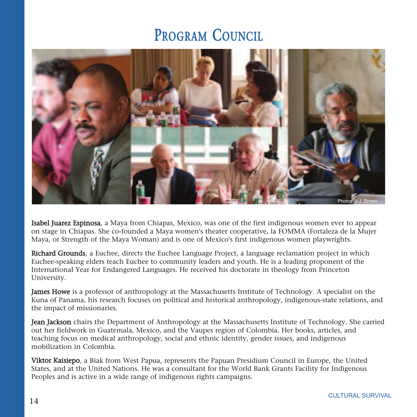## PROGRAM COUNCIL



Isabel Juarez Espinosa, a Maya from Chiapas, Mexico, was one of the first indigenous women ever to appear on stage in Chiapas. She co-founded a Maya women's theater cooperative, la FOMMA (Fortaleza de la Mujer Maya, or Strength of the Maya Woman) and is one of Mexico's first indigenous women playwrights.

Richard Grounds, a Euchee, directs the Euchee Language Project, a language reclamation project in which Euchee-speaking elders teach Euchee to community leaders and youth. He is a leading proponent of the International Year for Endangered Languages. He received his doctorate in theology from Princeton University.

**James Howe** is a professor of anthropology at the Massachusetts Institute of Technology. A specialist on the Kuna of Panama, his research focuses on political and historical anthropology, indigenous-state relations, and the impact of missionaries.

Jean Jackson chairs the Department of Anthropology at the Massachusetts Institute of Technology. She carried out her fieldwork in Guatemala, Mexico, and the Vaupes region of Colombia. Her books, articles, and teaching focus on medical anthropology, social and ethnic identity, gender issues, and indigenous mobilization in Colombia.

Viktor Kaisiepo, a Biak from West Papua, represents the Papuan Presidium Council in Europe, the United States, and at the United Nations. He was a consultant for the World Bank Grants Facility for Indigenous Peoples and is active in a wide range of indigenous rights campaigns.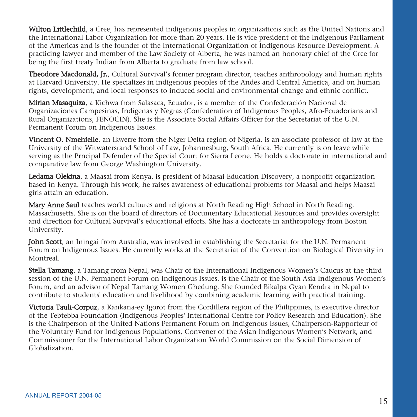Wilton Littlechild, a Cree, has represented indigenous peoples in organizations such as the United Nations and the International Labor Organization for more than 20 years. He is vice president of the Indigenous Parliament of the Americas and is the founder of the International Organization of Indigenous Resource Development. A practicing lawyer and member of the Law Society of Alberta, he was named an honorary chief of the Cree for being the first treaty Indian from Alberta to graduate from law school.

Theodore Macdonald, Jr., Cultural Survival's former program director, teaches anthropology and human rights at Harvard University. He specializes in indigenous peoples of the Andes and Central America, and on human rights, development, and local responses to induced social and environmental change and ethnic conflict.

Mirian Masaquiza, a Kichwa from Salasaca, Ecuador, is a member of the Confederación Nacional de Organizaciones Campesinas, Indígenas y Negras (Confederation of Indigenous Peoples, Afro-Ecuadorians and Rural Organizations, FENOCIN). She is the Associate Social Affairs Officer for the Secretariat of the U.N. Permanent Forum on Indigenous Issues.

Vincent O. Nmehielle, an Ikwerre from the Niger Delta region of Nigeria, is an associate professor of law at the University of the Witwatersrand School of Law, Johannesburg, South Africa. He currently is on leave while serving as the Prncipal Defender of the Special Court for Sierra Leone. He holds a doctorate in international and comparative law from George Washington University.

Ledama Olekina, a Maasai from Kenya, is president of Maasai Education Discovery, a nonprofit organization based in Kenya. Through his work, he raises awareness of educational problems for Maasai and helps Maasai girls attain an education.

Mary Anne Saul teaches world cultures and religions at North Reading High School in North Reading, Massachusetts. She is on the board of directors of Documentary Educational Resources and provides oversight and direction for Cultural Survival's educational efforts. She has a doctorate in anthropology from Boston University.

John Scott, an Iningai from Australia, was involved in establishing the Secretariat for the U.N. Permanent Forum on Indigenous Issues. He currently works at the Secretariat of the Convention on Biological Diversity in Montreal.

Stella Tamang, a Tamang from Nepal, was Chair of the International Indigenous Women's Caucus at the third session of the U.N. Permanent Forum on Indigenous Issues, is the Chair of the South Asia Indigenous Women's Forum, and an advisor of Nepal Tamang Women Ghedung. She founded Bikalpa Gyan Kendra in Nepal to contribute to students' education and livelihood by combining academic learning with practical training.

Victoria Tauli-Corpuz, a Kankana-ey Igorot from the Cordillera region of the Philippines, is executive director of the Tebtebba Foundation (Indigenous Peoples' International Centre for Policy Research and Education). She is the Chairperson of the United Nations Permanent Forum on Indigenous Issues, Chairperson-Rapporteur of the Voluntary Fund for Indigenous Populations, Convener of the Asian Indigenous Women's Network, and Commissioner for the International Labor Organization World Commission on the Social Dimension of Globalization.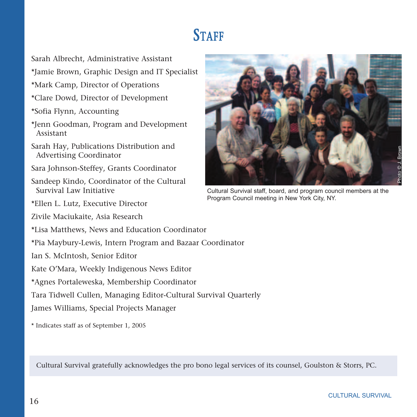# **STAFF**

- Sarah Albrecht, Administrative Assistant
- \*Jamie Brown, Graphic Design and IT Specialist
- \*Mark Camp, Director of Operations
- \*Clare Dowd, Director of Development
- \*Sofia Flynn, Accounting
- \*Jenn Goodman, Program and Development Assistant
- Sarah Hay, Publications Distribution and Advertising Coordinator
- Sara Johnson-Steffey, Grants Coordinator
- Sandeep Kindo, Coordinator of the Cultural Survival Law Initiative
- \*Ellen L. Lutz, Executive Director
- Zivile Maciukaite, Asia Research
- \*Lisa Matthews, News and Education Coordinator
- \*Pia Maybury-Lewis, Intern Program and Bazaar Coordinator
- Ian S. McIntosh, Senior Editor
- Kate O'Mara, Weekly Indigenous News Editor
- \*Agnes Portaleweska, Membership Coordinator
- Tara Tidwell Cullen, Managing Editor-Cultural Survival Quarterly
- James Williams, Special Projects Manager
- \* Indicates staff as of September 1, 2005



Cultural Survival staff, board, and program council members at the Program Council meeting in New York City, NY.

Cultural Survival gratefully acknowledges the pro bono legal services of its counsel, Goulston & Storrs, PC.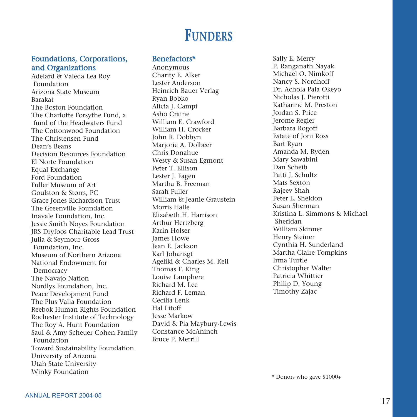## **FUNDERS**

#### Foundations, Corporations, and Organizations

Adelard & Valeda Lea Roy Foundation Arizona State Museum Barakat The Boston Foundation The Charlotte Forsythe Fund, a fund of the Headwaters Fund The Cottonwood Foundation The Christensen Fund Dean's Beans Decision Resources Foundation El Norte Foundation Equal Exchange Ford Foundation Fuller Museum of Art Goulston & Storrs, PC Grace Jones Richardson Trust The Greenville Foundation Inavale Foundation, Inc. Jessie Smith Noyes Foundation JRS Dryfoos Charitable Lead Trust Julia & Seymour Gross Foundation, Inc. Museum of Northern Arizona National Endowment for Democracy The Navajo Nation Nordlys Foundation, Inc. Peace Development Fund The Plus Valia Foundation Reebok Human Rights Foundation Rochester Institute of Technology The Roy A. Hunt Foundation Saul & Amy Scheuer Cohen Family Foundation Toward Sustainability Foundation University of Arizona Utah State University Winky Foundation

#### Benefactors\*

Anonymous Charity E. Alker Lester Anderson Heinrich Bauer Verlag Ryan Bobko Alicia J. Campi Asho Craine William E. Crawford William H. Crocker John R. Dobbyn Marjorie A. Dolbeer Chris Donahue Westy & Susan Egmont Peter T. Ellison Lester J. Fagen Martha B. Freeman Sarah Fuller William & Jeanie Graustein Morris Halle Elizabeth H. Harrison Arthur Hertzberg Karin Holser James Howe Jean E. Jackson Karl Johansgt Ageliki & Charles M. Keil Thomas F. King Louise Lamphere Richard M. Lee Richard F. Leman Cecilia Lenk Hal Litoff Jesse Markow David & Pia Maybury-Lewis Constance McAninch Bruce P. Merrill

Sally E. Merry P. Ranganath Nayak Michael O. Nimkoff Nancy S. Nordhoff Dr. Achola Pala Okeyo Nicholas J. Pierotti Katharine M. Preston Jordan S. Price Jerome Regier Barbara Rogoff Estate of Joni Ross Bart Ryan Amanda M. Ryden Mary Sawabini Dan Scheib Patti J. Schultz Mats Sexton Rajeev Shah Peter L. Sheldon Susan Sherman Kristina L. Simmons & Michael Sheridan William Skinner Henry Steiner Cynthia H. Sunderland Martha Claire Tompkins Irma Turtle Christopher Walter Patricia Whittier Philip D. Young Timothy Zajac

\* Donors who gave \$1000+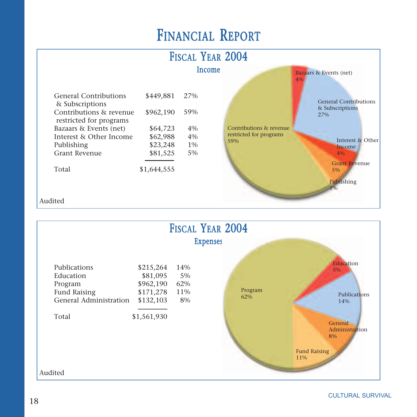# FINANCIAL REPORT





CULTURAL SURVIVAL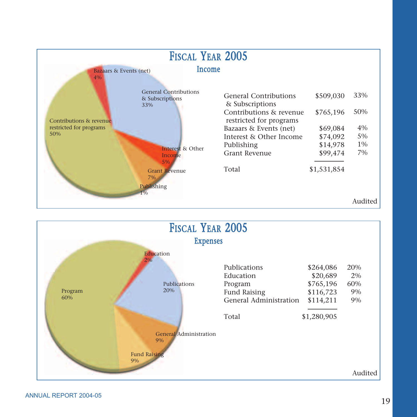